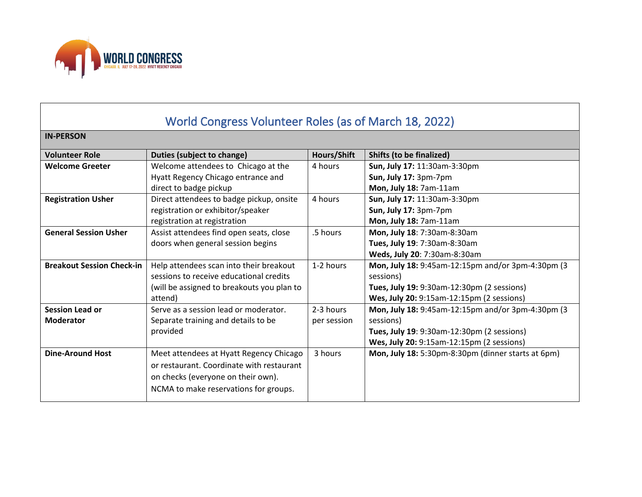

## World Congress Volunteer Roles (as of March 18, 2022) **IN-PERSON Volunteer Role Duties (subject to change) Hours/Shift Shifts (to be finalized) Welcome Greeter** Welcome attendees to Chicago at the Hyatt Regency Chicago entrance and direct to badge pickup 4 hours **Sun, July 17:** 11:30am-3:30pm **Sun, July 17:** 3pm-7pm **Mon, July 18:** 7am-11am **Registration Usher** | Direct attendees to badge pickup, onsite registration or exhibitor/speaker registration at registration 4 hours **Sun, July 17:** 11:30am-3:30pm **Sun, July 17:** 3pm-7pm **Mon, July 18:** 7am-11am **General Session Usher** | Assist attendees find open seats, close doors when general session begins .5 hours **Mon, July 18**: 7:30am-8:30am **Tues, July 19**: 7:30am-8:30am **Weds, July 20**: 7:30am-8:30am **Breakout Session Check-in** | Help attendees scan into their breakout sessions to receive educational credits (will be assigned to breakouts you plan to attend) 1-2 hours **Mon, July 18:** 9:45am-12:15pm and/or 3pm-4:30pm (3 sessions) **Tues, July 19:** 9:30am-12:30pm (2 sessions) **Wes, July 20:** 9:15am-12:15pm (2 sessions) **Session Lead or Moderator** Serve as a session lead or moderator. Separate training and details to be provided 2-3 hours per session **Mon, July 18:** 9:45am-12:15pm and/or 3pm-4:30pm (3 sessions) **Tues, July 19**: 9:30am-12:30pm (2 sessions) **Wes, July 20:** 9:15am-12:15pm (2 sessions) **Dine-Around Host** | Meet attendees at Hyatt Regency Chicago or restaurant. Coordinate with restaurant on checks (everyone on their own). NCMA to make reservations for groups. 3 hours **Mon, July 18:** 5:30pm-8:30pm (dinner starts at 6pm)